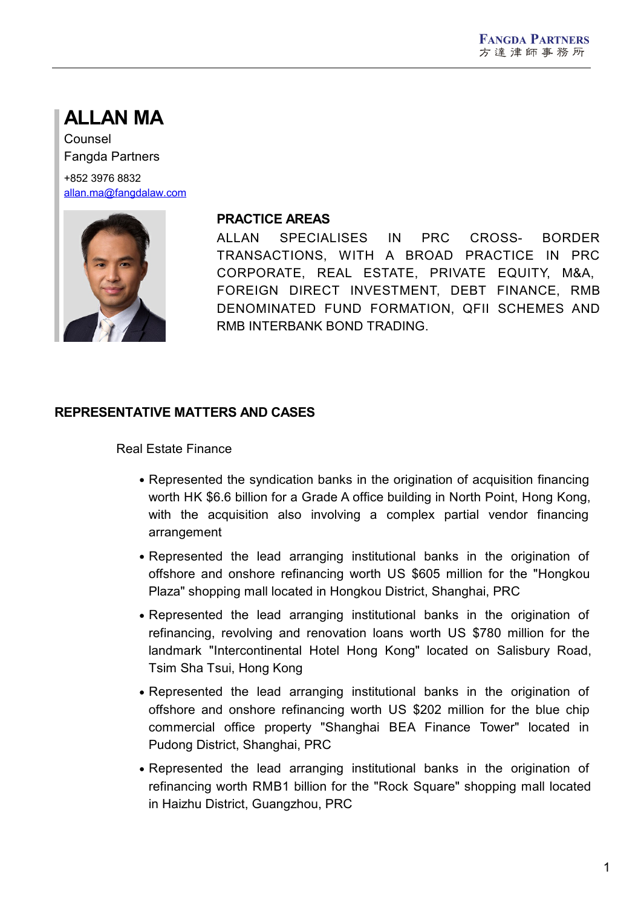# **ALLAN MA**

Counsel Fangda Partners +852 3976 8832 [allan.ma@fangdalaw.com](mailto:allan.ma@fangdalaw.com)



#### **PRACTICE AREAS**

ALLAN SPECIALISES IN PRC CROSS- BORDER TRANSACTIONS, WITH A BROAD PRACTICE IN PRC CORPORATE, REAL ESTATE, PRIVATE EQUITY, M&A, FOREIGN DIRECT INVESTMENT, DEBT FINANCE, RMB DENOMINATED FUND FORMATION, QFII SCHEMES AND RMB INTERBANK BOND TRADING.

### **REPRESENTATIVE MATTERS AND CASES**

Real Estate Finance

- Represented the syndication banks in the origination of acquisition financing worth HK \$6.6 billion for a Grade A office building in North Point, Hong Kong, with the acquisition also involving a complex partial vendor financing arrangement
- Represented the lead arranging institutional banks in the origination of offshore and onshore refinancing worth US \$605 million for the "Hongkou Plaza" shopping mall located in Hongkou District, Shanghai, PRC
- Represented the lead arranging institutional banks in the origination of refinancing, revolving and renovation loans worth US \$780 million for the landmark "Intercontinental Hotel Hong Kong" located on Salisbury Road, Tsim Sha Tsui, Hong Kong
- Represented the lead arranging institutional banks in the origination of offshore and onshore refinancing worth US \$202 million for the blue chip commercial office property "Shanghai BEA Finance Tower" located in Pudong District, Shanghai, PRC
- Represented the lead arranging institutional banks in the origination of refinancing worth RMB1 billion for the "Rock Square" shopping mall located in Haizhu District, Guangzhou, PRC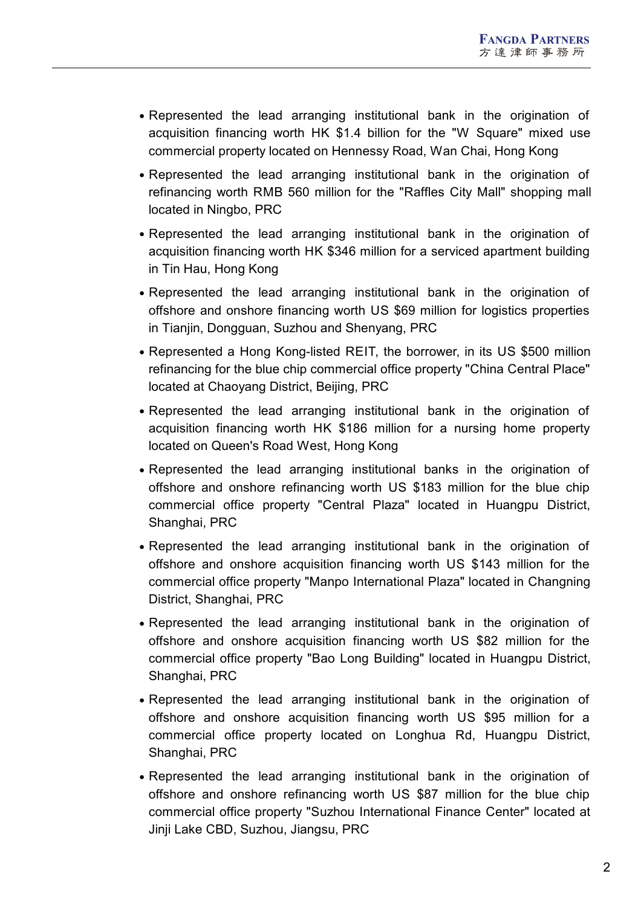- Represented the lead arranging institutional bank in the origination of acquisition financing worth HK \$1.4 billion for the "W Square" mixed use commercial property located on Hennessy Road, Wan Chai, Hong Kong
- Represented the lead arranging institutional bank in the origination of refinancing worth RMB 560 million for the "Raffles City Mall" shopping mall located in Ningbo, PRC
- Represented the lead arranging institutional bank in the origination of acquisition financing worth HK \$346 million for a serviced apartment building in Tin Hau, Hong Kong
- Represented the lead arranging institutional bank in the origination of offshore and onshore financing worth US \$69 million for logistics properties in Tianjin, Dongguan, Suzhou and Shenyang, PRC
- Represented a Hong Kong-listed REIT, the borrower, in its US \$500 million refinancing for the blue chip commercial office property "China Central Place" located at Chaoyang District, Beijing, PRC
- Represented the lead arranging institutional bank in the origination of acquisition financing worth HK \$186 million for a nursing home property located on Queen's Road West, Hong Kong
- Represented the lead arranging institutional banks in the origination of offshore and onshore refinancing worth US \$183 million for the blue chip commercial office property "Central Plaza" located in Huangpu District, Shanghai, PRC
- Represented the lead arranging institutional bank in the origination of offshore and onshore acquisition financing worth US \$143 million for the commercial office property "Manpo International Plaza" located in Changning District, Shanghai, PRC
- Represented the lead arranging institutional bank in the origination of offshore and onshore acquisition financing worth US \$82 million for the commercial office property "Bao Long Building" located in Huangpu District, Shanghai, PRC
- Represented the lead arranging institutional bank in the origination of offshore and onshore acquisition financing worth US \$95 million for a commercial office property located on Longhua Rd, Huangpu District, Shanghai, PRC
- Represented the lead arranging institutional bank in the origination of offshore and onshore refinancing worth US \$87 million for the blue chip commercial office property "Suzhou International Finance Center" located at Jinji Lake CBD, Suzhou, Jiangsu, PRC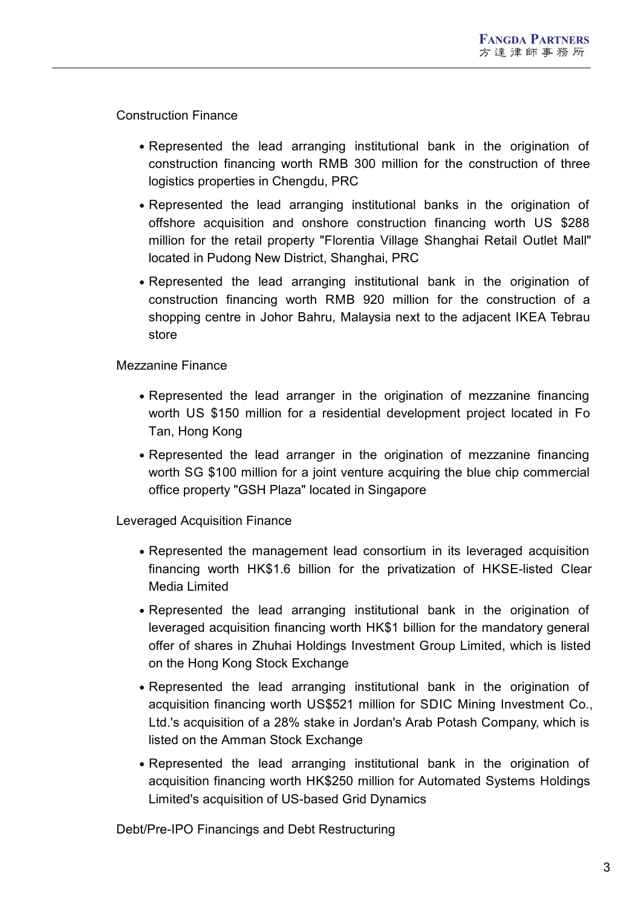Construction Finance

- Represented the lead arranging institutional bank in the origination of construction financing worth RMB 300 million for the construction of three logistics properties in Chengdu, PRC
- Represented the lead arranging institutional banks in the origination of offshore acquisition and onshore construction financing worth US \$288 million for the retail property "Florentia Village Shanghai Retail Outlet Mall" located in Pudong New District, Shanghai, PRC
- Represented the lead arranging institutional bank in the origination of construction financing worth RMB 920 million for the construction of a shopping centre in Johor Bahru, Malaysia next to the adjacent IKEA Tebrau store

Mezzanine Finance

- Represented the lead arranger in the origination of mezzanine financing worth US \$150 million for a residential development project located in Fo Tan, Hong Kong
- Represented the lead arranger in the origination of mezzanine financing worth SG \$100 million for a joint venture acquiring the blue chip commercial office property "GSH Plaza" located in Singapore

Leveraged Acquisition Finance

- Represented the management lead consortium in its leveraged acquisition financing worth HK\$1.6 billion for the privatization of HKSE-listed Clear Media Limited
- Represented the lead arranging institutional bank in the origination of leveraged acquisition financing worth HK\$1 billion for the mandatory general offer of shares in Zhuhai Holdings Investment Group Limited, which is listed on the Hong Kong Stock Exchange
- Represented the lead arranging institutional bank in the origination of acquisition financing worth US\$521 million for SDIC Mining Investment Co., Ltd.'s acquisition of a 28% stake in Jordan's Arab Potash Company, which is listed on the Amman Stock Exchange
- Represented the lead arranging institutional bank in the origination of acquisition financing worth HK\$250 million for Automated Systems Holdings Limited's acquisition of US-based Grid Dynamics

Debt/Pre-IPO Financings and Debt Restructuring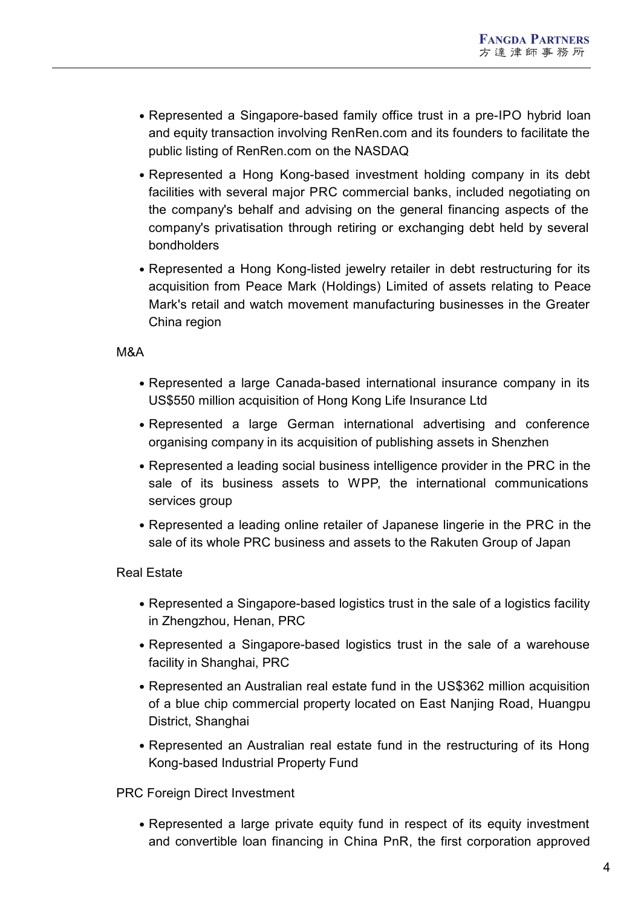- Represented a Singapore-based family office trust in a pre-IPO hybrid loan and equity transaction involving RenRen.com and its founders to facilitate the public listing of RenRen.com on the NASDAQ
- Represented a Hong Kong-based investment holding company in its debt facilities with several major PRC commercial banks, included negotiating on the company's behalf and advising on the general financing aspects of the company's privatisation through retiring or exchanging debt held by several bondholders
- Represented a Hong Kong-listed jewelry retailer in debt restructuring for its acquisition from Peace Mark (Holdings) Limited of assets relating to Peace Mark's retail and watch movement manufacturing businesses in the Greater China region

#### M&A

- Represented a large Canada-based international insurance company in its US\$550 million acquisition of Hong Kong Life Insurance Ltd
- Represented a large German international advertising and conference organising company in its acquisition of publishing assets in Shenzhen
- Represented a leading social business intelligence provider in the PRC in the sale of its business assets to WPP, the international communications services group
- Represented a leading online retailer of Japanese lingerie in the PRC in the sale of its whole PRC business and assets to the Rakuten Group of Japan

### Real Estate

- Represented a Singapore-based logistics trust in the sale of a logistics facility in Zhengzhou, Henan, PRC
- Represented a Singapore-based logistics trust in the sale of a warehouse facility in Shanghai, PRC
- Represented an Australian real estate fund in the US\$362 million acquisition of a blue chip commercial property located on East Nanjing Road, Huangpu District, Shanghai
- Represented an Australian real estate fund in the restructuring of its Hong Kong-based Industrial Property Fund

PRC Foreign Direct Investment

Represented a large private equity fund in respect of its equity investment and convertible loan financing in China PnR, the first corporation approved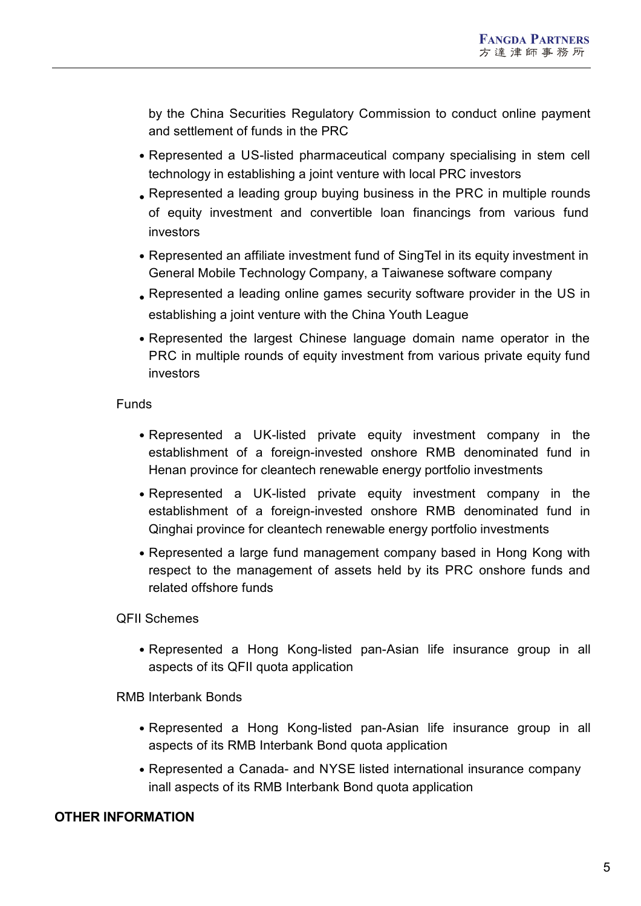by the China Securities Regulatory Commission to conduct online payment and settlement of funds in the PRC

- Represented a US-listed pharmaceutical company specialising in stem cell technology in establishing a joint venture with local PRC investors
- Represented a leading group buying business in the PRC in multiple rounds of equity investment and convertible loan financings from various fund investors
- Represented an affiliate investment fund of SingTel in its equity investment in General Mobile Technology Company, a Taiwanese software company
- Represented a leading online games security software provider in the US in establishing a joint venture with the China Youth League
- Represented the largest Chinese language domain name operator in the PRC in multiple rounds of equity investment from various private equity fund investors

### Funds

- Represented a UK-listed private equity investment company in the establishment of a foreign-invested onshore RMB denominated fund in Henan province for cleantech renewable energy portfolio investments
- Represented a UK-listed private equity investment company in the establishment of a foreign-invested onshore RMB denominated fund in Qinghai province for cleantech renewable energy portfolio investments
- Represented a large fund management company based in Hong Kong with respect to the management of assets held by its PRC onshore funds and related offshore funds

# QFII Schemes

Represented a Hong Kong-listed pan-Asian life insurance group in all aspects of its QFII quota application

# RMB Interbank Bonds

- Represented a Hong Kong-listed pan-Asian life insurance group in all aspects of its RMB Interbank Bond quota application
- Represented a Canada- and NYSE listed international insurance company inall aspects of its RMB Interbank Bond quota application

# **OTHER INFORMATION**